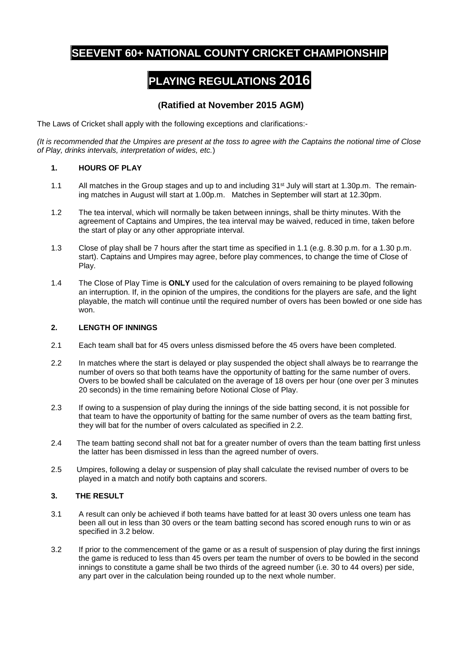## **SEEVENT 60+ NATIONAL COUNTY CRICKET CHAMPIONSHIP**

# **PLAYING REGULATIONS 2016**

### **(Ratified at November 2015 AGM)**

The Laws of Cricket shall apply with the following exceptions and clarifications:-

*(It is recommended that the Umpires are present at the toss to agree with the Captains the notional time of Close of Play, drinks intervals, interpretation of wides, etc.*)

#### **1. HOURS OF PLAY**

- 1.1 All matches in the Group stages and up to and including 31<sup>st</sup> July will start at 1.30p.m. The remaining matches in August will start at 1.00p.m. Matches in September will start at 12.30pm.
- 1.2 The tea interval, which will normally be taken between innings, shall be thirty minutes. With the agreement of Captains and Umpires, the tea interval may be waived, reduced in time, taken before the start of play or any other appropriate interval.
- 1.3 Close of play shall be 7 hours after the start time as specified in 1.1 (e.g. 8.30 p.m. for a 1.30 p.m. start). Captains and Umpires may agree, before play commences, to change the time of Close of Play.
- 1.4 The Close of Play Time is **ONLY** used for the calculation of overs remaining to be played following an interruption. If, in the opinion of the umpires, the conditions for the players are safe, and the light playable, the match will continue until the required number of overs has been bowled or one side has won.

#### **2. LENGTH OF INNINGS**

- 2.1 Each team shall bat for 45 overs unless dismissed before the 45 overs have been completed.
- 2.2 In matches where the start is delayed or play suspended the object shall always be to rearrange the number of overs so that both teams have the opportunity of batting for the same number of overs. Overs to be bowled shall be calculated on the average of 18 overs per hour (one over per 3 minutes 20 seconds) in the time remaining before Notional Close of Play.
- 2.3 If owing to a suspension of play during the innings of the side batting second, it is not possible for that team to have the opportunity of batting for the same number of overs as the team batting first, they will bat for the number of overs calculated as specified in 2.2.
- 2.4 The team batting second shall not bat for a greater number of overs than the team batting first unless the latter has been dismissed in less than the agreed number of overs.
- 2.5 Umpires, following a delay or suspension of play shall calculate the revised number of overs to be played in a match and notify both captains and scorers.

#### **3. THE RESULT**

- 3.1 A result can only be achieved if both teams have batted for at least 30 overs unless one team has been all out in less than 30 overs or the team batting second has scored enough runs to win or as specified in 3.2 below.
- 3.2 If prior to the commencement of the game or as a result of suspension of play during the first innings the game is reduced to less than 45 overs per team the number of overs to be bowled in the second innings to constitute a game shall be two thirds of the agreed number (i.e. 30 to 44 overs) per side, any part over in the calculation being rounded up to the next whole number.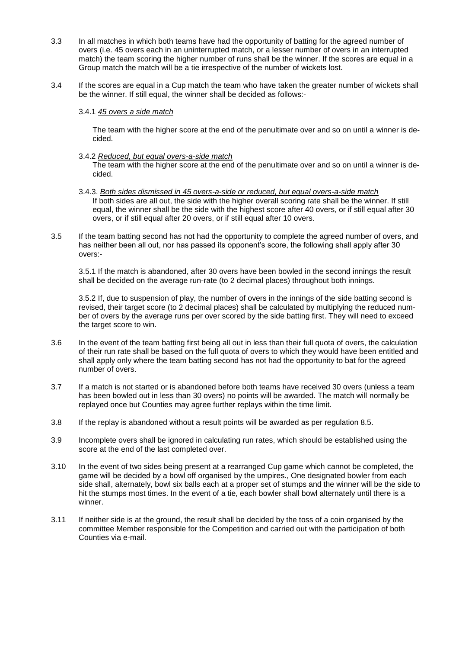- 3.3 In all matches in which both teams have had the opportunity of batting for the agreed number of overs (i.e. 45 overs each in an uninterrupted match, or a lesser number of overs in an interrupted match) the team scoring the higher number of runs shall be the winner. If the scores are equal in a Group match the match will be a tie irrespective of the number of wickets lost.
- 3.4 If the scores are equal in a Cup match the team who have taken the greater number of wickets shall be the winner. If still equal, the winner shall be decided as follows:-
	- 3.4.1 *45 overs a side match*

The team with the higher score at the end of the penultimate over and so on until a winner is decided.

3.4.2 *Reduced, but equal overs-a-side match*

The team with the higher score at the end of the penultimate over and so on until a winner is decided.

- 3.4.3. *Both sides dismissed in 45 overs-a-side or reduced, but equal overs-a-side match* If both sides are all out, the side with the higher overall scoring rate shall be the winner. If still equal, the winner shall be the side with the highest score after 40 overs, or if still equal after 30 overs, or if still equal after 20 overs, or if still equal after 10 overs.
- 3.5 If the team batting second has not had the opportunity to complete the agreed number of overs, and has neither been all out, nor has passed its opponent's score, the following shall apply after 30 overs:-

3.5.1 If the match is abandoned, after 30 overs have been bowled in the second innings the result shall be decided on the average run-rate (to 2 decimal places) throughout both innings.

3.5.2 If, due to suspension of play, the number of overs in the innings of the side batting second is revised, their target score (to 2 decimal places) shall be calculated by multiplying the reduced number of overs by the average runs per over scored by the side batting first. They will need to exceed the target score to win.

- 3.6 In the event of the team batting first being all out in less than their full quota of overs, the calculation of their run rate shall be based on the full quota of overs to which they would have been entitled and shall apply only where the team batting second has not had the opportunity to bat for the agreed number of overs.
- 3.7 If a match is not started or is abandoned before both teams have received 30 overs (unless a team has been bowled out in less than 30 overs) no points will be awarded. The match will normally be replayed once but Counties may agree further replays within the time limit.
- 3.8 If the replay is abandoned without a result points will be awarded as per regulation 8.5.
- 3.9 Incomplete overs shall be ignored in calculating run rates, which should be established using the score at the end of the last completed over.
- 3.10 In the event of two sides being present at a rearranged Cup game which cannot be completed, the game will be decided by a bowl off organised by the umpires., One designated bowler from each side shall, alternately, bowl six balls each at a proper set of stumps and the winner will be the side to hit the stumps most times. In the event of a tie, each bowler shall bowl alternately until there is a winner.
- 3.11 If neither side is at the ground, the result shall be decided by the toss of a coin organised by the committee Member responsible for the Competition and carried out with the participation of both Counties via e-mail.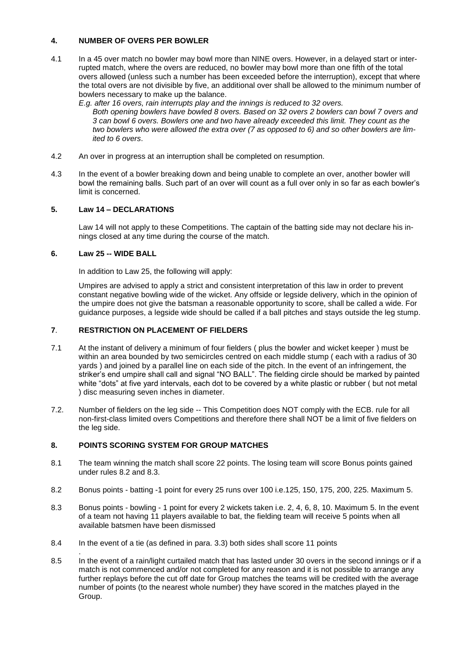#### **4. NUMBER OF OVERS PER BOWLER**

- 4.1 In a 45 over match no bowler may bowl more than NINE overs. However, in a delayed start or interrupted match, where the overs are reduced, no bowler may bowl more than one fifth of the total overs allowed (unless such a number has been exceeded before the interruption), except that where the total overs are not divisible by five, an additional over shall be allowed to the minimum number of bowlers necessary to make up the balance.
	- *E.g. after 16 overs, rain interrupts play and the innings is reduced to 32 overs. Both opening bowlers have bowled 8 overs. Based on 32 overs 2 bowlers can bowl 7 overs and 3 can bowl 6 overs. Bowlers one and two have already exceeded this limit. They count as the two bowlers who were allowed the extra over (7 as opposed to 6) and so other bowlers are limited to 6 overs*.
- 4.2 An over in progress at an interruption shall be completed on resumption.
- 4.3 In the event of a bowler breaking down and being unable to complete an over, another bowler will bowl the remaining balls. Such part of an over will count as a full over only in so far as each bowler's limit is concerned.

#### **5. Law 14 – DECLARATIONS**

Law 14 will not apply to these Competitions. The captain of the batting side may not declare his innings closed at any time during the course of the match.

#### **6. Law 25 -- WIDE BALL**

.

In addition to Law 25, the following will apply:

Umpires are advised to apply a strict and consistent interpretation of this law in order to prevent constant negative bowling wide of the wicket. Any offside or legside delivery, which in the opinion of the umpire does not give the batsman a reasonable opportunity to score, shall be called a wide. For guidance purposes, a legside wide should be called if a ball pitches and stays outside the leg stump.

#### **7**. **RESTRICTION ON PLACEMENT OF FIELDERS**

- 7.1 At the instant of delivery a minimum of four fielders ( plus the bowler and wicket keeper ) must be within an area bounded by two semicircles centred on each middle stump ( each with a radius of 30 yards ) and joined by a parallel line on each side of the pitch. In the event of an infringement, the striker's end umpire shall call and signal "NO BALL". The fielding circle should be marked by painted white "dots" at five yard intervals, each dot to be covered by a white plastic or rubber ( but not metal ) disc measuring seven inches in diameter.
- 7.2. Number of fielders on the leg side -- This Competition does NOT comply with the ECB. rule for all non-first-class limited overs Competitions and therefore there shall NOT be a limit of five fielders on the leg side.

#### **8. POINTS SCORING SYSTEM FOR GROUP MATCHES**

- 8.1 The team winning the match shall score 22 points. The losing team will score Bonus points gained under rules 8.2 and 8.3.
- 8.2 Bonus points batting -1 point for every 25 runs over 100 i.e.125, 150, 175, 200, 225. Maximum 5.
- 8.3 Bonus points bowling 1 point for every 2 wickets taken i.e. 2, 4, 6, 8, 10. Maximum 5. In the event of a team not having 11 players available to bat, the fielding team will receive 5 points when all available batsmen have been dismissed
- 8.4 In the event of a tie (as defined in para. 3.3) both sides shall score 11 points
- 8.5 In the event of a rain/light curtailed match that has lasted under 30 overs in the second innings or if a match is not commenced and/or not completed for any reason and it is not possible to arrange any further replays before the cut off date for Group matches the teams will be credited with the average number of points (to the nearest whole number) they have scored in the matches played in the Group.